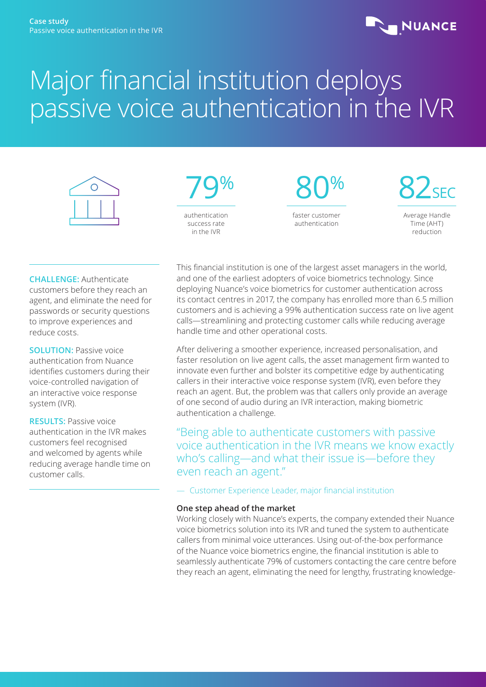## **NUANCE**

# Major financial institution deploys passive voice authentication in the IVR





 80% faster customer authentication

82<sub>SEC</sub>

Average Handle Time (AHT) reduction

**CHALLENGE:** Authenticate customers before they reach an agent, and eliminate the need for passwords or security questions to improve experiences and reduce costs.

**SOLUTION:** Passive voice authentication from Nuance identifies customers during their voice-controlled navigation of an interactive voice response system (IVR).

**RESULTS: Passive voice** authentication in the IVR makes customers feel recognised and welcomed by agents while reducing average handle time on customer calls.

This financial institution is one of the largest asset managers in the world, and one of the earliest adopters of voice biometrics technology. Since deploying Nuance's voice biometrics for customer authentication across its contact centres in 2017, the company has enrolled more than 6.5 million customers and is achieving a 99% authentication success rate on live agent calls—streamlining and protecting customer calls while reducing average handle time and other operational costs.

After delivering a smoother experience, increased personalisation, and faster resolution on live agent calls, the asset management firm wanted to innovate even further and bolster its competitive edge by authenticating callers in their interactive voice response system (IVR), even before they reach an agent. But, the problem was that callers only provide an average of one second of audio during an IVR interaction, making biometric authentication a challenge.

"Being able to authenticate customers with passive voice authentication in the IVR means we know exactly who's calling—and what their issue is—before they even reach an agent."

— Customer Experience Leader, major financial institution

### **One step ahead of the market**

Working closely with Nuance's experts, the company extended their Nuance voice biometrics solution into its IVR and tuned the system to authenticate callers from minimal voice utterances. Using out-of-the-box performance of the Nuance voice biometrics engine, the financial institution is able to seamlessly authenticate 79% of customers contacting the care centre before they reach an agent, eliminating the need for lengthy, frustrating knowledge-